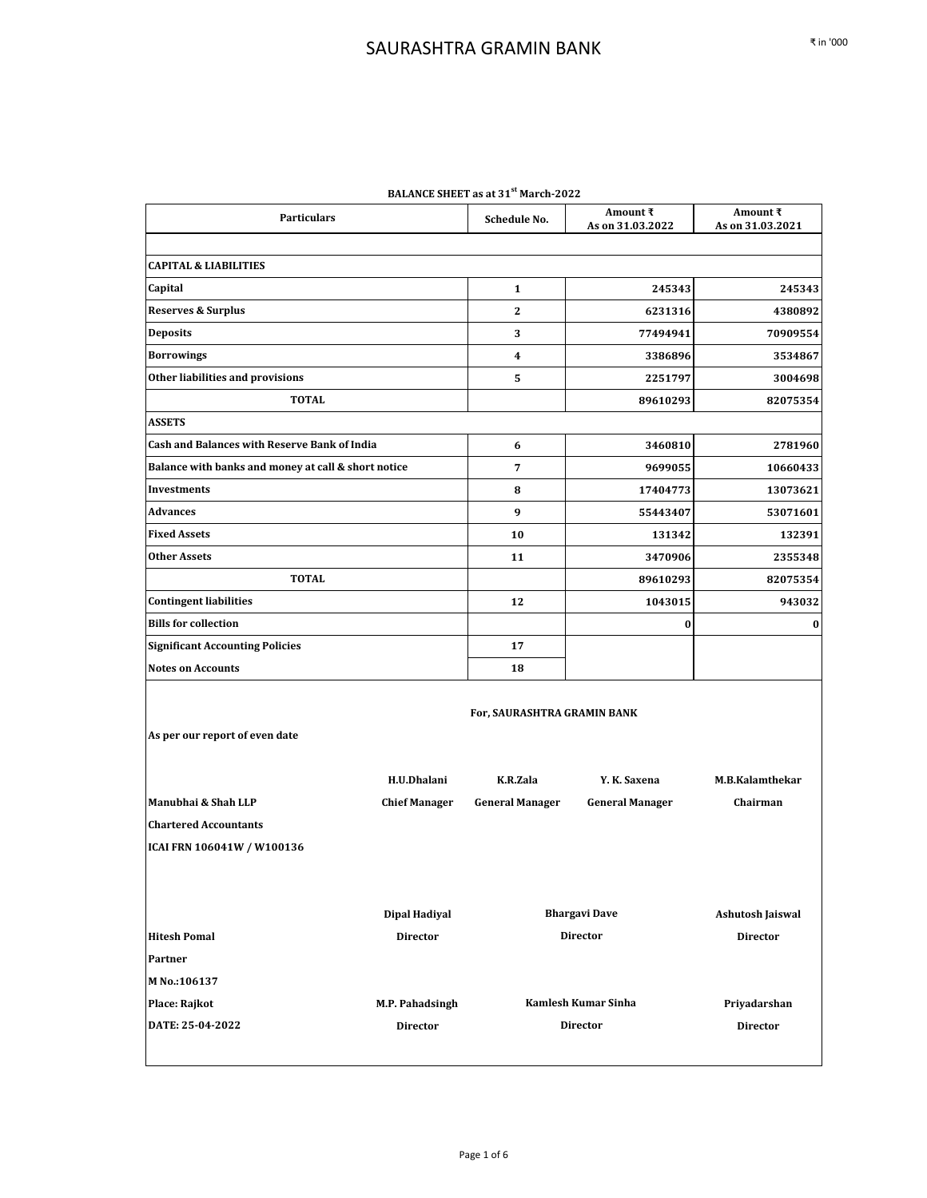| <b>BALANCE SHEET as at 31<sup>3</sup> March-2022</b> |                      |                             |                              |                              |  |
|------------------------------------------------------|----------------------|-----------------------------|------------------------------|------------------------------|--|
| <b>Particulars</b>                                   |                      | <b>Schedule No.</b>         | Amount ₹<br>As on 31.03.2022 | Amount ₹<br>As on 31.03.2021 |  |
|                                                      |                      |                             |                              |                              |  |
| <b>CAPITAL &amp; LIABILITIES</b>                     |                      |                             |                              |                              |  |
| Capital                                              |                      | $\mathbf{1}$                | 245343                       | 245343                       |  |
| Reserves & Surplus                                   |                      | 2                           | 6231316                      | 4380892                      |  |
| <b>Deposits</b>                                      |                      | 3                           | 77494941                     | 70909554                     |  |
| <b>Borrowings</b>                                    |                      | 4                           | 3386896                      | 3534867                      |  |
| Other liabilities and provisions                     |                      | 5                           | 2251797                      | 3004698                      |  |
| <b>TOTAL</b>                                         |                      |                             | 89610293                     | 82075354                     |  |
| <b>ASSETS</b>                                        |                      |                             |                              |                              |  |
| <b>Cash and Balances with Reserve Bank of India</b>  |                      | 6                           | 3460810                      | 2781960                      |  |
| Balance with banks and money at call & short notice  |                      | 7                           | 9699055                      | 10660433                     |  |
| <b>Investments</b>                                   |                      | 8                           | 17404773                     | 13073621                     |  |
| <b>Advances</b>                                      |                      | 9                           | 55443407                     | 53071601                     |  |
| <b>Fixed Assets</b>                                  |                      | 10                          | 131342                       | 132391                       |  |
| <b>Other Assets</b>                                  |                      | 11                          | 3470906                      | 2355348                      |  |
| <b>TOTAL</b>                                         |                      |                             | 89610293                     | 82075354                     |  |
| <b>Contingent liabilities</b>                        |                      | 12                          | 1043015                      | 943032                       |  |
| <b>Bills for collection</b>                          |                      |                             | $\bf{0}$                     | 0                            |  |
| <b>Significant Accounting Policies</b>               |                      | 17                          |                              |                              |  |
| <b>Notes on Accounts</b>                             |                      | 18                          |                              |                              |  |
| As per our report of even date                       |                      | For, SAURASHTRA GRAMIN BANK |                              |                              |  |
|                                                      | H.U.Dhalani          | K.R.Zala                    | Y. K. Saxena                 | <b>M.B.Kalamthekar</b>       |  |
| Manubhai & Shah LLP                                  | <b>Chief Manager</b> | <b>General Manager</b>      | <b>General Manager</b>       | Chairman                     |  |
| <b>Chartered Accountants</b>                         |                      |                             |                              |                              |  |
| ICAI FRN 106041W / W100136                           |                      |                             |                              |                              |  |
|                                                      | <b>Dipal Hadiyal</b> |                             | <b>Bhargavi Dave</b>         | Ashutosh Jaiswal             |  |
| <b>Hitesh Pomal</b>                                  | <b>Director</b>      | <b>Director</b>             |                              | <b>Director</b>              |  |
| Partner                                              |                      |                             |                              |                              |  |
| M No.:106137                                         |                      |                             |                              |                              |  |
| Place: Rajkot                                        | M.P. Pahadsingh      |                             | Kamlesh Kumar Sinha          | Priyadarshan                 |  |
| DATE: 25-04-2022                                     | <b>Director</b>      |                             | Director                     | <b>Director</b>              |  |
|                                                      |                      |                             |                              |                              |  |

| BALANCE SHEET as at 31 <sup>st</sup> March-2022 |  |  |
|-------------------------------------------------|--|--|
|-------------------------------------------------|--|--|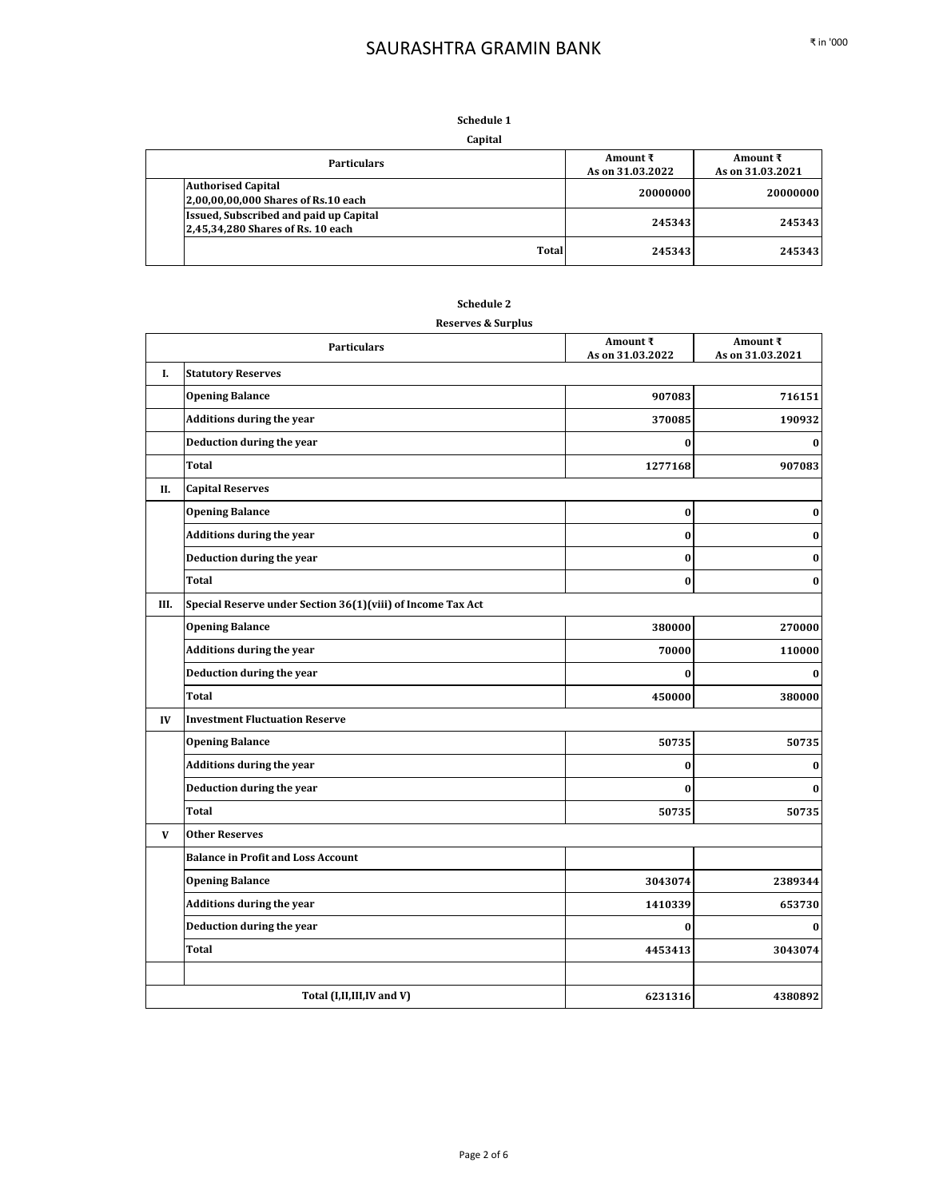#### **Schedule 1 Capital**

| capital                                                                            |                                      |                              |
|------------------------------------------------------------------------------------|--------------------------------------|------------------------------|
| <b>Particulars</b>                                                                 | Amount $\bar{x}$<br>As on 31.03.2022 | Amount ₹<br>As on 31.03.2021 |
| <b>Authorised Capital</b><br>2,00,00,00,000 Shares of Rs.10 each                   | 20000000                             | 20000000                     |
| <b>Issued, Subscribed and paid up Capital</b><br>2,45,34,280 Shares of Rs. 10 each | 245343                               | 245343                       |
| Total                                                                              | 245343                               | 245343                       |

#### **Schedule 2**

#### **Reserves & Surplus**

|      | <b>Particulars</b>                                          | Amount ₹<br>As on 31.03.2022 | Amount ₹<br>As on 31.03.2021 |
|------|-------------------------------------------------------------|------------------------------|------------------------------|
| I.   | <b>Statutory Reserves</b>                                   |                              |                              |
|      | <b>Opening Balance</b>                                      | 907083                       | 716151                       |
|      | Additions during the year                                   | 370085                       | 190932                       |
|      | Deduction during the year                                   | $\bf{0}$                     | $\bf{0}$                     |
|      | Total                                                       | 1277168                      | 907083                       |
| П.   | <b>Capital Reserves</b>                                     |                              |                              |
|      | <b>Opening Balance</b>                                      | $\bf{0}$                     | $\bf{0}$                     |
|      | Additions during the year                                   | $\bf{0}$                     | $\bf{0}$                     |
|      | Deduction during the year                                   | $\bf{0}$                     | $\bf{0}$                     |
|      | <b>Total</b>                                                | $\bf{0}$                     | $\bf{0}$                     |
| III. | Special Reserve under Section 36(1)(viii) of Income Tax Act |                              |                              |
|      | <b>Opening Balance</b>                                      | 380000                       | 270000                       |
|      | <b>Additions during the year</b>                            | 70000                        | 110000                       |
|      | Deduction during the year                                   | $\bf{0}$                     | $\mathbf{0}$                 |
|      | Total                                                       | 450000                       | 380000                       |
| IV   | <b>Investment Fluctuation Reserve</b>                       |                              |                              |
|      | <b>Opening Balance</b>                                      | 50735                        | 50735                        |
|      | <b>Additions during the year</b>                            | $\bf{0}$                     | $\boldsymbol{0}$             |
|      | Deduction during the year                                   | $\bf{0}$                     | $\bf{0}$                     |
|      | Total                                                       | 50735                        | 50735                        |
| V    | <b>Other Reserves</b>                                       |                              |                              |
|      | <b>Balance in Profit and Loss Account</b>                   |                              |                              |
|      | <b>Opening Balance</b>                                      | 3043074                      | 2389344                      |
|      | <b>Additions during the year</b>                            | 1410339                      | 653730                       |
|      | Deduction during the year                                   | $\bf{0}$                     | $\bf{0}$                     |
|      | Total                                                       | 4453413                      | 3043074                      |
|      |                                                             |                              |                              |
|      | Total (I,II,III,IV and V)                                   | 6231316                      | 4380892                      |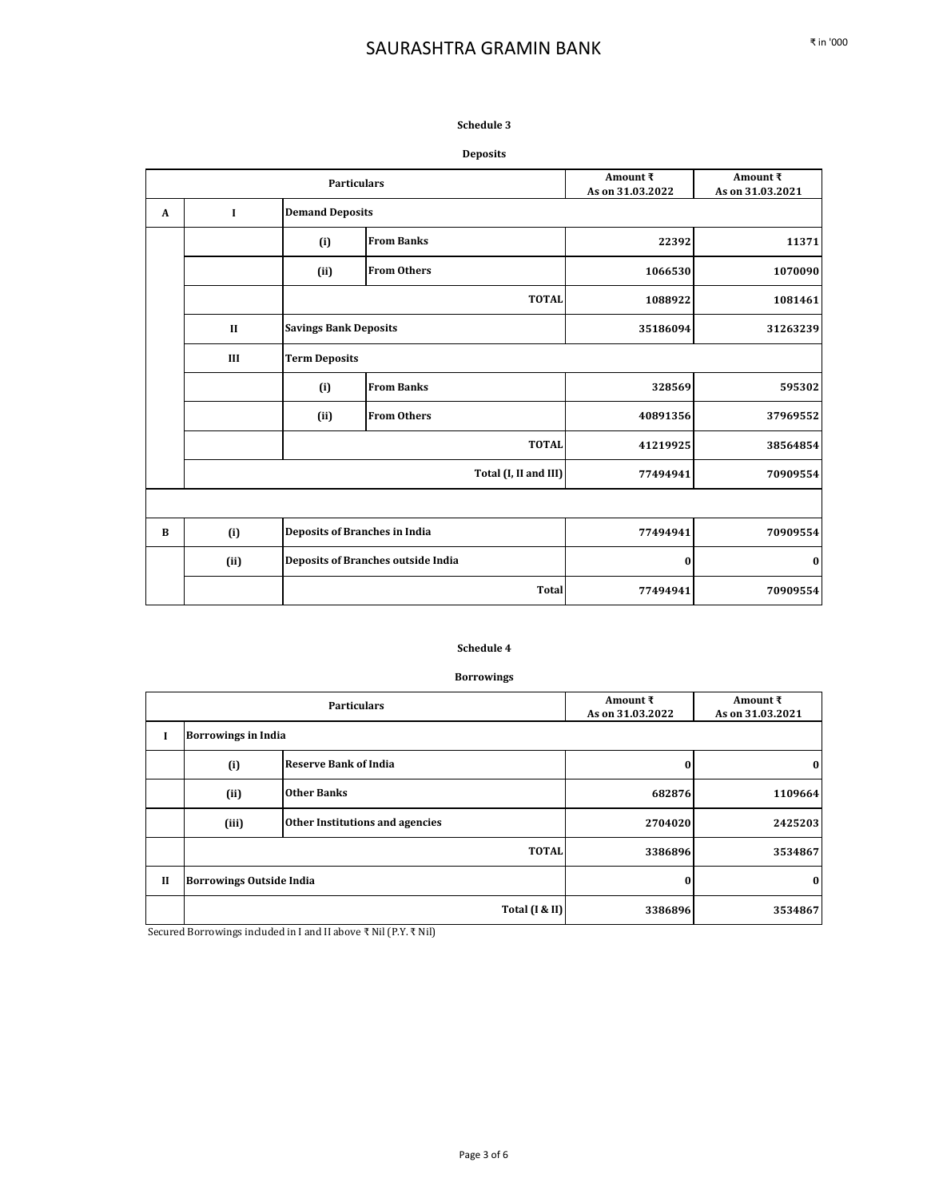### **Schedule 3**

### **Deposits**

| <b>Particulars</b> |                                              | Amount ₹<br>As on 31.03.2022         | Amount ₹<br>As on 31.03.2021              |          |          |
|--------------------|----------------------------------------------|--------------------------------------|-------------------------------------------|----------|----------|
| A                  | $\mathbf I$                                  | <b>Demand Deposits</b>               |                                           |          |          |
|                    |                                              | (i)                                  | <b>From Banks</b>                         | 22392    | 11371    |
|                    |                                              | (ii)                                 | <b>From Others</b>                        | 1066530  | 1070090  |
|                    |                                              |                                      | <b>TOTAL</b>                              | 1088922  | 1081461  |
|                    | <b>Savings Bank Deposits</b><br>$\mathbf{I}$ |                                      | 35186094                                  | 31263239 |          |
|                    | <b>Term Deposits</b><br>III                  |                                      |                                           |          |          |
|                    |                                              | (i)                                  | <b>From Banks</b>                         | 328569   | 595302   |
|                    |                                              | (ii)                                 | <b>From Others</b>                        | 40891356 | 37969552 |
|                    |                                              |                                      | <b>TOTAL</b>                              | 41219925 | 38564854 |
|                    | Total (I, II and III)                        |                                      | 77494941                                  | 70909554 |          |
|                    |                                              |                                      |                                           |          |          |
| B                  | (i)                                          | <b>Deposits of Branches in India</b> |                                           | 77494941 | 70909554 |
|                    | (ii)                                         |                                      | <b>Deposits of Branches outside India</b> | $\bf{0}$ | 0        |
|                    | <b>Total</b>                                 |                                      | 77494941                                  | 70909554 |          |

#### **Schedule 4**

### **Borrowings**

|              |                                 | <b>Particulars</b>              | Amount $\bar{x}$<br>As on 31.03.2022 | Amount ₹<br>As on 31.03.2021 |
|--------------|---------------------------------|---------------------------------|--------------------------------------|------------------------------|
| I            | <b>Borrowings in India</b>      |                                 |                                      |                              |
|              | (i)                             | <b>Reserve Bank of India</b>    | 0                                    | $\bf{0}$                     |
|              | (ii)                            | <b>Other Banks</b>              | 682876                               | 1109664                      |
|              | (iii)                           | Other Institutions and agencies | 2704020                              | 2425203                      |
|              |                                 | <b>TOTAL</b>                    | 3386896                              | 3534867                      |
| $\mathbf{I}$ | <b>Borrowings Outside India</b> |                                 | $\bf{0}$                             | $\bf{0}$                     |
|              |                                 | Total (I & II)                  | 3386896                              | 3534867                      |

Secured Borrowings included in I and II above ₹ Nil (P.Y. ₹ Nil)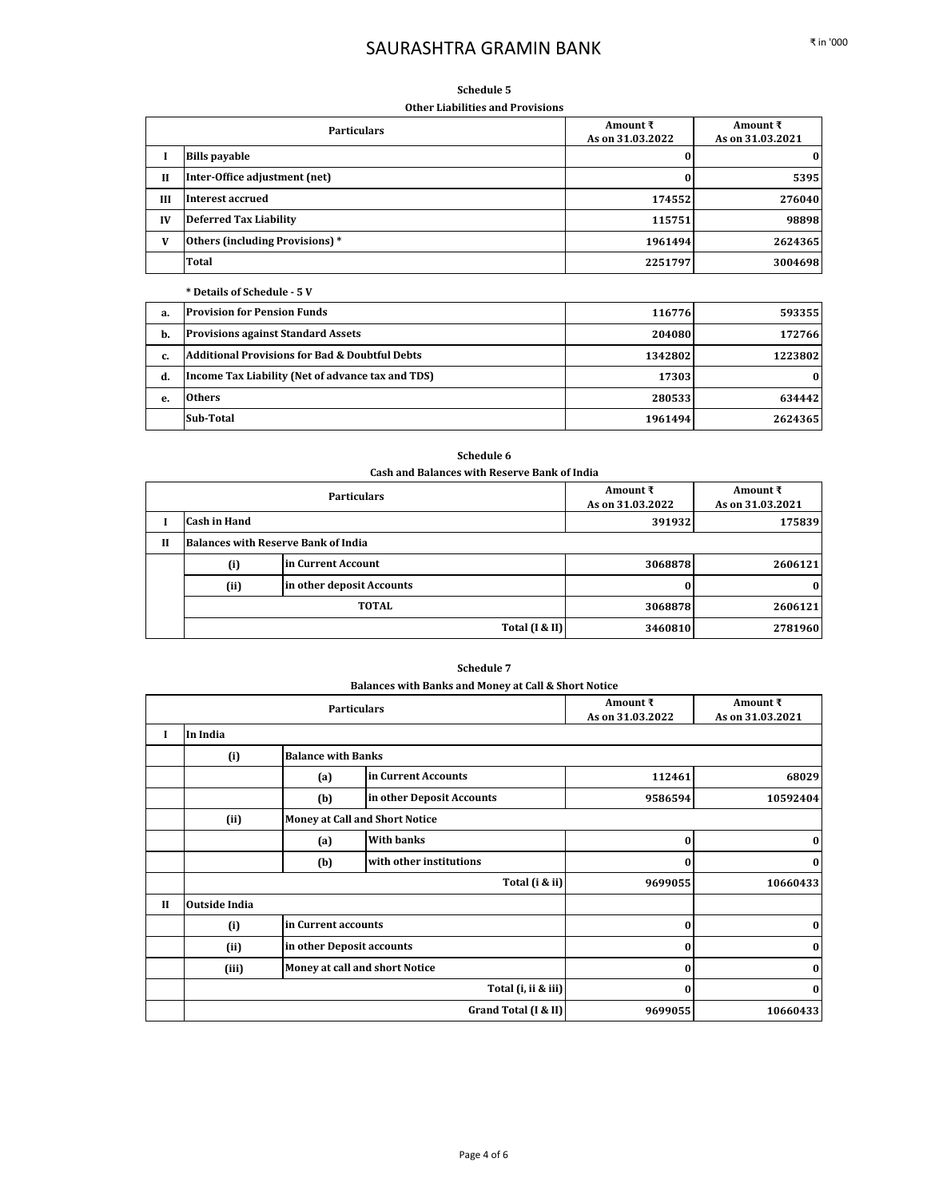#### **Schedule 5**

**Other Liabilities and Provisions**

|    | <b>Particulars</b>              | Amount ₹<br>As on 31.03.2022 | Amount ₹<br>As on 31.03.2021 |
|----|---------------------------------|------------------------------|------------------------------|
|    | <b>Bills payable</b>            | 0                            | $\bf{0}$                     |
| II | Inter-Office adjustment (net)   | 0                            | 5395                         |
| Ш  | Interest accrued                | 174552                       | 276040                       |
| IV | Deferred Tax Liability          | 115751                       | 98898                        |
| V  | Others (including Provisions) * | 1961494                      | 2624365                      |
|    | <b>Total</b>                    | 2251797                      | 3004698                      |

#### **\* Details of Schedule - 5 V**

| а. | <b>Provision for Pension Funds</b>                        | 116776  | 593355   |
|----|-----------------------------------------------------------|---------|----------|
| b. | <b>Provisions against Standard Assets</b>                 | 204080  | 172766   |
| c. | <b>Additional Provisions for Bad &amp; Doubtful Debts</b> | 1342802 | 1223802  |
| d. | Income Tax Liability (Net of advance tax and TDS)         | 17303   | $\bf{0}$ |
| е. | Others                                                    | 280533  | 634442   |
|    | <b>Sub-Total</b>                                          | 1961494 | 2624365  |

### **Schedule 6**

**Cash and Balances with Reserve Bank of India**

| <b>Particulars</b> |                           |                                            | Amount ₹<br>As on 31.03.2022 | Amount ₹<br>As on 31.03.2021 |
|--------------------|---------------------------|--------------------------------------------|------------------------------|------------------------------|
|                    | <b>Cash in Hand</b>       |                                            | 391932                       | 175839                       |
| Н                  |                           | <b>Balances with Reserve Bank of India</b> |                              |                              |
|                    | in Current Account<br>(i) |                                            | 3068878                      | 2606121                      |
|                    | (ii)                      | in other deposit Accounts                  |                              | $\bf{0}$                     |
|                    |                           | <b>TOTAL</b>                               | 3068878                      | 2606121                      |
|                    |                           | Total $(I & I)$                            | 3460810                      | 2781960                      |

#### **Schedule 7**

| Balances with Banks and Money at Call & Short Notice |                           |                     |                              |  |
|------------------------------------------------------|---------------------------|---------------------|------------------------------|--|
|                                                      | <b>Particulars</b>        |                     | Amount ₹<br>As on 31.03.2022 |  |
|                                                      | <b>Balance with Banks</b> |                     |                              |  |
|                                                      | (a)                       | in Current Accounts | 112461                       |  |

|              |                      |                           |                                       | As on 31.03.2022 | As on 31.03.2021 |
|--------------|----------------------|---------------------------|---------------------------------------|------------------|------------------|
| L            | In India             |                           |                                       |                  |                  |
|              | (i)                  | <b>Balance with Banks</b> |                                       |                  |                  |
|              |                      | (a)                       | in Current Accounts                   | 112461           | 68029            |
|              |                      | (b)                       | in other Deposit Accounts             | 9586594          | 10592404         |
|              | (ii)                 |                           | <b>Money at Call and Short Notice</b> |                  |                  |
|              |                      | (a)                       | <b>With banks</b>                     | 0                | $\bf{0}$         |
|              |                      | (b)                       | with other institutions               | $\bf{0}$         | $\bf{0}$         |
|              |                      |                           | Total (i & ii)                        | 9699055          | 10660433         |
| $\mathbf{I}$ | <b>Outside India</b> |                           |                                       |                  |                  |
|              | (i)                  | in Current accounts       |                                       | $\bf{0}$         | $\bf{0}$         |
|              | (ii)                 | in other Deposit accounts |                                       | $\bf{0}$         | $\bf{0}$         |
|              | (iii)                |                           | Money at call and short Notice        | $\bf{0}$         | $\bf{0}$         |
|              |                      |                           | Total (i, ii & iii)                   | $\bf{0}$         | $\bf{0}$         |
|              |                      |                           | Grand Total (I & II)                  | 9699055          | 10660433         |

**Amount ₹**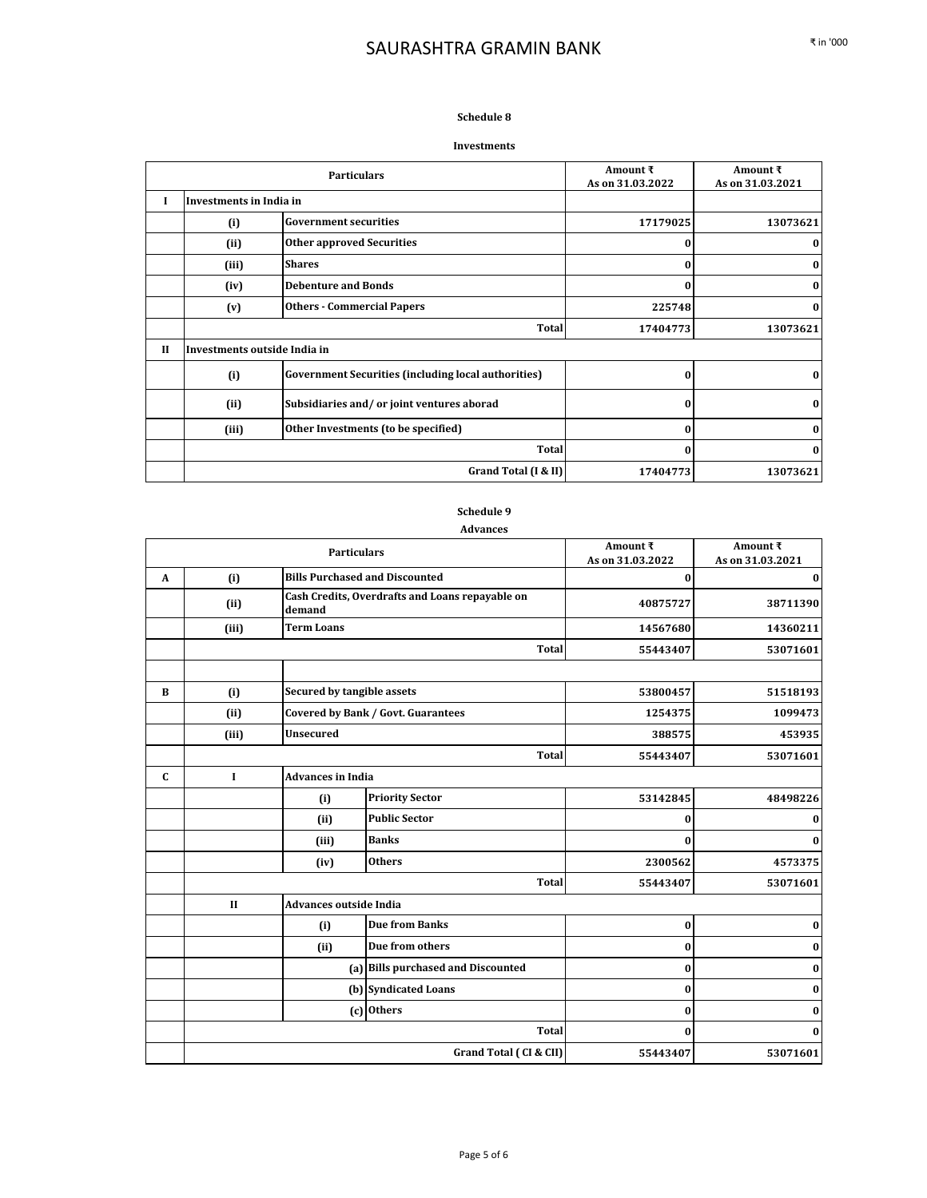### **Schedule 8**

#### **Investments**

|              |                                                   | <b>Particulars</b>                                         | Amount ₹<br>As on 31.03.2022 | Amount $\bar{x}$<br>As on 31.03.2021 |
|--------------|---------------------------------------------------|------------------------------------------------------------|------------------------------|--------------------------------------|
| I            | Investments in India in                           |                                                            |                              |                                      |
|              | (i)                                               | <b>Government securities</b>                               | 17179025                     | 13073621                             |
|              | (i)                                               | <b>Other approved Securities</b>                           | 0                            | 0                                    |
|              | (iii)                                             | <b>Shares</b>                                              | $\bf{0}$                     | $\bf{0}$                             |
|              | <b>Debenture and Bonds</b><br>(iv)                |                                                            | 0                            | 0                                    |
|              | <b>Others - Commercial Papers</b><br>(v)          |                                                            | 225748                       | 0                                    |
|              |                                                   | Total                                                      | 17404773                     | 13073621                             |
| $\mathbf{I}$ | Investments outside India in                      |                                                            |                              |                                      |
|              | (i)                                               | <b>Government Securities (including local authorities)</b> | 0                            | $\bf{0}$                             |
|              | Subsidiaries and/or joint ventures aborad<br>(ii) |                                                            | $\bf{0}$                     | $\bf{0}$                             |
|              | (iii)                                             | Other Investments (to be specified)                        | $\bf{0}$                     | 0                                    |
|              |                                                   | Total                                                      | $\bf{0}$                     | $\bf{0}$                             |
|              |                                                   | Grand Total (I & II)                                       | 17404773                     | 13073621                             |

## **Schedule 9**

#### **Advances**

|              |              | <b>Particulars</b>                    |                                                 | Amount ₹<br>As on 31.03.2022 | Amount ₹<br>As on 31.03.2021 |
|--------------|--------------|---------------------------------------|-------------------------------------------------|------------------------------|------------------------------|
| $\mathbf{A}$ | (i)          | <b>Bills Purchased and Discounted</b> |                                                 | $\bf{0}$                     | $\bf{0}$                     |
|              | (ii)         | demand                                | Cash Credits, Overdrafts and Loans repayable on | 40875727                     | 38711390                     |
|              | (iii)        | <b>Term Loans</b>                     |                                                 | 14567680                     | 14360211                     |
|              |              |                                       | <b>Total</b>                                    | 55443407                     | 53071601                     |
|              |              |                                       |                                                 |                              |                              |
| B            | (i)          | Secured by tangible assets            |                                                 | 53800457                     | 51518193                     |
|              | (ii)         |                                       | <b>Covered by Bank / Govt. Guarantees</b>       | 1254375                      | 1099473                      |
|              | (iii)        | <b>Unsecured</b>                      |                                                 | 388575                       | 453935                       |
|              |              |                                       | Total                                           | 55443407                     | 53071601                     |
| C            | $\mathbf I$  | <b>Advances in India</b>              |                                                 |                              |                              |
|              |              | (i)                                   | <b>Priority Sector</b>                          | 53142845                     | 48498226                     |
|              |              | (ii)                                  | <b>Public Sector</b>                            | $\bf{0}$                     | 0                            |
|              |              | (iii)                                 | <b>Banks</b>                                    | $\bf{0}$                     | 0                            |
|              |              | (iv)                                  | <b>Others</b>                                   | 2300562                      | 4573375                      |
|              |              |                                       | <b>Total</b>                                    | 55443407                     | 53071601                     |
|              | $\mathbf{I}$ | <b>Advances outside India</b>         |                                                 |                              |                              |
|              |              | (i)                                   | <b>Due from Banks</b>                           | $\bf{0}$                     | 0                            |
|              |              | (ii)                                  | Due from others                                 | $\bf{0}$                     | 0                            |
|              |              |                                       | (a) Bills purchased and Discounted              | $\bf{0}$                     | 0                            |
|              |              |                                       | (b) Syndicated Loans                            | $\bf{0}$                     | 0                            |
|              |              |                                       | (c) Others                                      | $\bf{0}$                     | 0                            |
|              |              |                                       | Total                                           | $\bf{0}$                     | $\bf{0}$                     |
|              |              |                                       | Grand Total (CI & CII)                          | 55443407                     | 53071601                     |